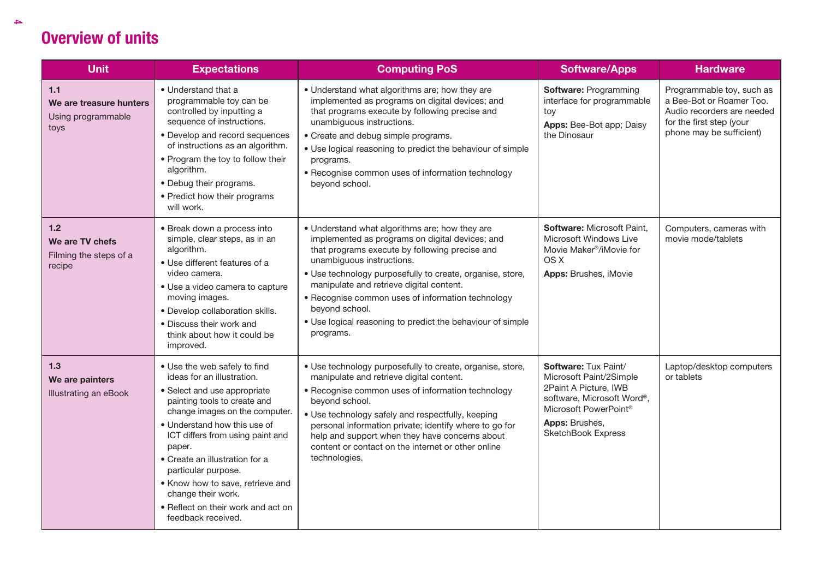| <b>Unit</b>                                                    | <b>Expectations</b>                                                                                                                                                                                                                                                                                                                                                                                                       | <b>Computing PoS</b>                                                                                                                                                                                                                                                                                                                                                                                                                        | <b>Software/Apps</b>                                                                                                                                                    | <b>Hardware</b>                                                                                                                             |
|----------------------------------------------------------------|---------------------------------------------------------------------------------------------------------------------------------------------------------------------------------------------------------------------------------------------------------------------------------------------------------------------------------------------------------------------------------------------------------------------------|---------------------------------------------------------------------------------------------------------------------------------------------------------------------------------------------------------------------------------------------------------------------------------------------------------------------------------------------------------------------------------------------------------------------------------------------|-------------------------------------------------------------------------------------------------------------------------------------------------------------------------|---------------------------------------------------------------------------------------------------------------------------------------------|
| $1.1$<br>We are treasure hunters<br>Using programmable<br>toys | • Understand that a<br>programmable toy can be<br>controlled by inputting a<br>sequence of instructions.<br>• Develop and record sequences<br>of instructions as an algorithm.<br>• Program the toy to follow their<br>algorithm.<br>• Debug their programs.<br>• Predict how their programs<br>will work.                                                                                                                | • Understand what algorithms are; how they are<br>implemented as programs on digital devices; and<br>that programs execute by following precise and<br>unambiguous instructions.<br>• Create and debug simple programs.<br>. Use logical reasoning to predict the behaviour of simple<br>programs.<br>• Recognise common uses of information technology<br>beyond school.                                                                   | Software: Programming<br>interface for programmable<br>toy<br>Apps: Bee-Bot app; Daisy<br>the Dinosaur                                                                  | Programmable toy, such as<br>a Bee-Bot or Roamer Too.<br>Audio recorders are needed<br>for the first step (your<br>phone may be sufficient) |
| 1.2<br>We are TV chefs<br>Filming the steps of a<br>recipe     | • Break down a process into<br>simple, clear steps, as in an<br>algorithm.<br>• Use different features of a<br>video camera.<br>• Use a video camera to capture<br>moving images.<br>· Develop collaboration skills.<br>· Discuss their work and<br>think about how it could be<br>improved.                                                                                                                              | • Understand what algorithms are; how they are<br>implemented as programs on digital devices; and<br>that programs execute by following precise and<br>unambiguous instructions.<br>· Use technology purposefully to create, organise, store,<br>manipulate and retrieve digital content.<br>• Recognise common uses of information technology<br>beyond school.<br>. Use logical reasoning to predict the behaviour of simple<br>programs. | Software: Microsoft Paint,<br>Microsoft Windows Live<br>Movie Maker <sup>®</sup> /iMovie for<br>OS X<br>Apps: Brushes, iMovie                                           | Computers, cameras with<br>movie mode/tablets                                                                                               |
| $1.3$<br>We are painters<br>Illustrating an eBook              | • Use the web safely to find<br>ideas for an illustration.<br>• Select and use appropriate<br>painting tools to create and<br>change images on the computer.<br>• Understand how this use of<br>ICT differs from using paint and<br>paper.<br>• Create an illustration for a<br>particular purpose.<br>. Know how to save, retrieve and<br>change their work.<br>• Reflect on their work and act on<br>feedback received. | · Use technology purposefully to create, organise, store,<br>manipulate and retrieve digital content.<br>• Recognise common uses of information technology<br>beyond school.<br>• Use technology safely and respectfully, keeping<br>personal information private; identify where to go for<br>help and support when they have concerns about<br>content or contact on the internet or other online<br>technologies.                        | Software: Tux Paint/<br>Microsoft Paint/2Simple<br>2Paint A Picture, IWB<br>software, Microsoft Word®,<br>Microsoft PowerPoint®<br>Apps: Brushes,<br>SketchBook Express | Laptop/desktop computers<br>or tablets                                                                                                      |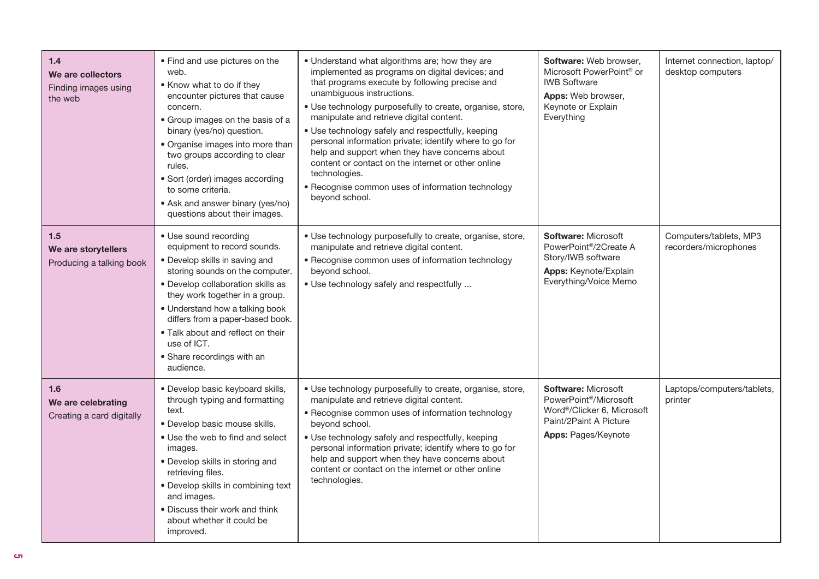| 1.4<br>We are collectors<br>Finding images using<br>the web | • Find and use pictures on the<br>web.<br>• Know what to do if they<br>encounter pictures that cause<br>concern.<br>• Group images on the basis of a<br>binary (yes/no) question.<br>• Organise images into more than<br>two groups according to clear<br>rules.<br>· Sort (order) images according<br>to some criteria.<br>• Ask and answer binary (yes/no)<br>questions about their images. | • Understand what algorithms are; how they are<br>implemented as programs on digital devices; and<br>that programs execute by following precise and<br>unambiguous instructions.<br>· Use technology purposefully to create, organise, store,<br>manipulate and retrieve digital content.<br>· Use technology safely and respectfully, keeping<br>personal information private; identify where to go for<br>help and support when they have concerns about<br>content or contact on the internet or other online<br>technologies.<br>• Recognise common uses of information technology<br>beyond school. | <b>Software: Web browser.</b><br>Microsoft PowerPoint <sup>®</sup> or<br><b>IWB Software</b><br>Apps: Web browser,<br>Keynote or Explain<br>Everything       | Internet connection, laptop/<br>desktop computers |
|-------------------------------------------------------------|-----------------------------------------------------------------------------------------------------------------------------------------------------------------------------------------------------------------------------------------------------------------------------------------------------------------------------------------------------------------------------------------------|----------------------------------------------------------------------------------------------------------------------------------------------------------------------------------------------------------------------------------------------------------------------------------------------------------------------------------------------------------------------------------------------------------------------------------------------------------------------------------------------------------------------------------------------------------------------------------------------------------|--------------------------------------------------------------------------------------------------------------------------------------------------------------|---------------------------------------------------|
| 1.5<br>We are storytellers<br>Producing a talking book      | • Use sound recording<br>equipment to record sounds.<br>• Develop skills in saving and<br>storing sounds on the computer.<br>• Develop collaboration skills as<br>they work together in a group.<br>• Understand how a talking book<br>differs from a paper-based book.<br>. Talk about and reflect on their<br>use of ICT.<br>• Share recordings with an<br>audience.                        | · Use technology purposefully to create, organise, store,<br>manipulate and retrieve digital content.<br>• Recognise common uses of information technology<br>beyond school.<br>• Use technology safely and respectfully                                                                                                                                                                                                                                                                                                                                                                                 | <b>Software: Microsoft</b><br>PowerPoint <sup>®</sup> /2Create A<br>Story/IWB software<br>Apps: Keynote/Explain<br>Everything/Voice Memo                     | Computers/tablets, MP3<br>recorders/microphones   |
| 1.6<br>We are celebrating<br>Creating a card digitally      | · Develop basic keyboard skills,<br>through typing and formatting<br>text.<br>· Develop basic mouse skills.<br>• Use the web to find and select<br>images.<br>· Develop skills in storing and<br>retrieving files.<br>• Develop skills in combining text<br>and images.<br>• Discuss their work and think<br>about whether it could be<br>improved.                                           | · Use technology purposefully to create, organise, store,<br>manipulate and retrieve digital content.<br>• Recognise common uses of information technology<br>beyond school.<br>• Use technology safely and respectfully, keeping<br>personal information private; identify where to go for<br>help and support when they have concerns about<br>content or contact on the internet or other online<br>technologies.                                                                                                                                                                                     | <b>Software: Microsoft</b><br>PowerPoint <sup>®</sup> /Microsoft<br>Word <sup>®</sup> /Clicker 6. Microsoft<br>Paint/2Paint A Picture<br>Apps: Pages/Keynote | Laptops/computers/tablets,<br>printer             |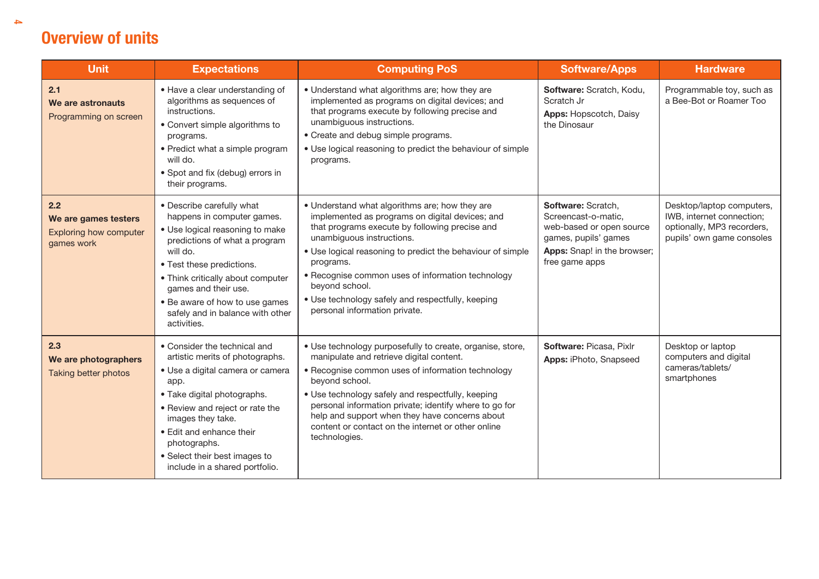| <b>Unit</b>                                                                | <b>Expectations</b>                                                                                                                                                                                                                                                                                                    | <b>Computing PoS</b>                                                                                                                                                                                                                                                                                                                                                                                                     | <b>Software/Apps</b>                                                                                                                           | <b>Hardware</b>                                                                                                   |
|----------------------------------------------------------------------------|------------------------------------------------------------------------------------------------------------------------------------------------------------------------------------------------------------------------------------------------------------------------------------------------------------------------|--------------------------------------------------------------------------------------------------------------------------------------------------------------------------------------------------------------------------------------------------------------------------------------------------------------------------------------------------------------------------------------------------------------------------|------------------------------------------------------------------------------------------------------------------------------------------------|-------------------------------------------------------------------------------------------------------------------|
| 2.1<br>We are astronauts<br>Programming on screen                          | • Have a clear understanding of<br>algorithms as sequences of<br>instructions.<br>• Convert simple algorithms to<br>programs.<br>• Predict what a simple program<br>will do.<br>• Spot and fix (debug) errors in<br>their programs.                                                                                    | • Understand what algorithms are; how they are<br>implemented as programs on digital devices; and<br>that programs execute by following precise and<br>unambiguous instructions.<br>• Create and debug simple programs.<br>• Use logical reasoning to predict the behaviour of simple<br>programs.                                                                                                                       | Software: Scratch, Kodu,<br>Scratch Jr<br>Apps: Hopscotch, Daisy<br>the Dinosaur                                                               | Programmable toy, such as<br>a Bee-Bot or Roamer Too                                                              |
| 2.2<br>We are games testers<br><b>Exploring how computer</b><br>games work | • Describe carefully what<br>happens in computer games.<br>• Use logical reasoning to make<br>predictions of what a program<br>will do.<br>• Test these predictions.<br>• Think critically about computer<br>games and their use.<br>• Be aware of how to use games<br>safely and in balance with other<br>activities. | • Understand what algorithms are; how they are<br>implemented as programs on digital devices; and<br>that programs execute by following precise and<br>unambiguous instructions.<br>. Use logical reasoning to predict the behaviour of simple<br>programs.<br>• Recognise common uses of information technology<br>beyond school.<br>• Use technology safely and respectfully, keeping<br>personal information private. | Software: Scratch,<br>Screencast-o-matic,<br>web-based or open source<br>games, pupils' games<br>Apps: Snap! in the browser;<br>free game apps | Desktop/laptop computers,<br>IWB, internet connection;<br>optionally, MP3 recorders,<br>pupils' own game consoles |
| 2.3<br>We are photographers<br>Taking better photos                        | • Consider the technical and<br>artistic merits of photographs.<br>· Use a digital camera or camera<br>app.<br>• Take digital photographs.<br>• Review and reject or rate the<br>images they take.<br>• Edit and enhance their<br>photographs.<br>• Select their best images to<br>include in a shared portfolio.      | • Use technology purposefully to create, organise, store,<br>manipulate and retrieve digital content.<br>• Recognise common uses of information technology<br>beyond school.<br>• Use technology safely and respectfully, keeping<br>personal information private; identify where to go for<br>help and support when they have concerns about<br>content or contact on the internet or other online<br>technologies.     | Software: Picasa, Pixlr<br>Apps: iPhoto, Snapseed                                                                                              | Desktop or laptop<br>computers and digital<br>cameras/tablets/<br>smartphones                                     |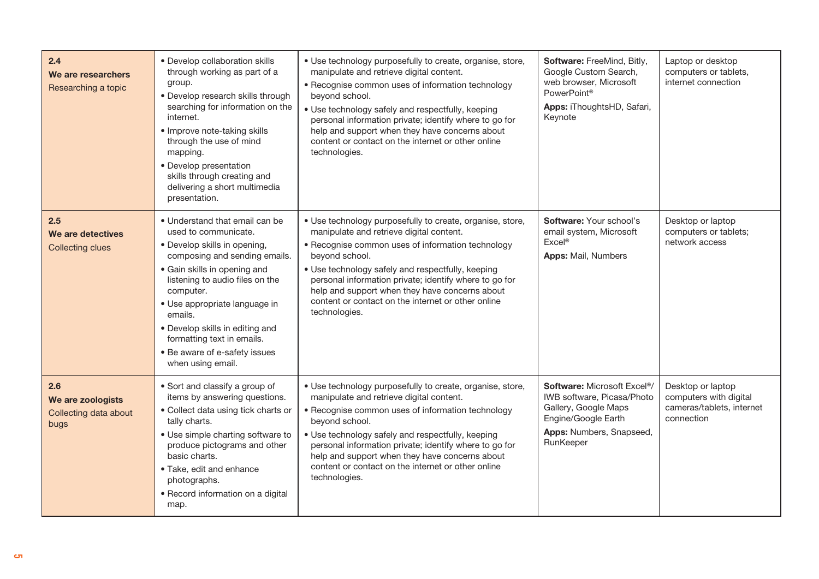| 2.4<br>We are researchers<br>Researching a topic          | • Develop collaboration skills<br>through working as part of a<br>group.<br>· Develop research skills through<br>searching for information on the<br>internet.<br>• Improve note-taking skills<br>through the use of mind<br>mapping.<br>• Develop presentation<br>skills through creating and<br>delivering a short multimedia<br>presentation.                           | · Use technology purposefully to create, organise, store,<br>manipulate and retrieve digital content.<br>• Recognise common uses of information technology<br>beyond school.<br>• Use technology safely and respectfully, keeping<br>personal information private; identify where to go for<br>help and support when they have concerns about<br>content or contact on the internet or other online<br>technologies. | Software: FreeMind, Bitly,<br>Google Custom Search,<br>web browser, Microsoft<br>PowerPoint <sup>®</sup><br>Apps: iThoughtsHD, Safari,<br>Keynote              | Laptop or desktop<br>computers or tablets,<br>internet connection                      |
|-----------------------------------------------------------|----------------------------------------------------------------------------------------------------------------------------------------------------------------------------------------------------------------------------------------------------------------------------------------------------------------------------------------------------------------------------|----------------------------------------------------------------------------------------------------------------------------------------------------------------------------------------------------------------------------------------------------------------------------------------------------------------------------------------------------------------------------------------------------------------------|----------------------------------------------------------------------------------------------------------------------------------------------------------------|----------------------------------------------------------------------------------------|
| 2.5<br>We are detectives<br><b>Collecting clues</b>       | • Understand that email can be<br>used to communicate.<br>• Develop skills in opening,<br>composing and sending emails.<br>• Gain skills in opening and<br>listening to audio files on the<br>computer.<br>• Use appropriate language in<br>emails.<br>• Develop skills in editing and<br>formatting text in emails.<br>• Be aware of e-safety issues<br>when using email. | · Use technology purposefully to create, organise, store,<br>manipulate and retrieve digital content.<br>• Recognise common uses of information technology<br>beyond school.<br>• Use technology safely and respectfully, keeping<br>personal information private; identify where to go for<br>help and support when they have concerns about<br>content or contact on the internet or other online<br>technologies. | Software: Your school's<br>email system, Microsoft<br>Excel <sup>®</sup><br><b>Apps:</b> Mail, Numbers                                                         | Desktop or laptop<br>computers or tablets;<br>network access                           |
| 2.6<br>We are zoologists<br>Collecting data about<br>bugs | • Sort and classify a group of<br>items by answering questions.<br>• Collect data using tick charts or<br>tally charts.<br>• Use simple charting software to<br>produce pictograms and other<br>basic charts.<br>· Take, edit and enhance<br>photographs.<br>• Record information on a digital<br>map.                                                                     | · Use technology purposefully to create, organise, store,<br>manipulate and retrieve digital content.<br>• Recognise common uses of information technology<br>beyond school.<br>. Use technology safely and respectfully, keeping<br>personal information private; identify where to go for<br>help and support when they have concerns about<br>content or contact on the internet or other online<br>technologies. | Software: Microsoft Excel <sup>®</sup> /<br>IWB software, Picasa/Photo<br>Gallery, Google Maps<br>Engine/Google Earth<br>Apps: Numbers, Snapseed,<br>RunKeeper | Desktop or laptop<br>computers with digital<br>cameras/tablets, internet<br>connection |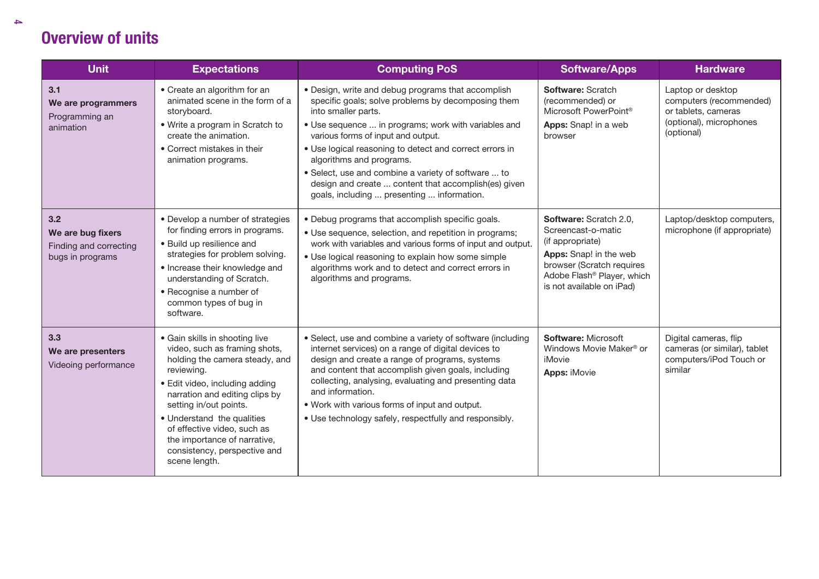| <b>Unit</b>                                                            | <b>Expectations</b>                                                                                                                                                                                                                                                                                                                                         | <b>Computing PoS</b>                                                                                                                                                                                                                                                                                                                                                                                                                                                              | <b>Software/Apps</b>                                                                                                                                                                           | <b>Hardware</b>                                                                                              |
|------------------------------------------------------------------------|-------------------------------------------------------------------------------------------------------------------------------------------------------------------------------------------------------------------------------------------------------------------------------------------------------------------------------------------------------------|-----------------------------------------------------------------------------------------------------------------------------------------------------------------------------------------------------------------------------------------------------------------------------------------------------------------------------------------------------------------------------------------------------------------------------------------------------------------------------------|------------------------------------------------------------------------------------------------------------------------------------------------------------------------------------------------|--------------------------------------------------------------------------------------------------------------|
| 3.1<br>We are programmers<br>Programming an<br>animation               | • Create an algorithm for an<br>animated scene in the form of a<br>storyboard.<br>• Write a program in Scratch to<br>create the animation.<br>• Correct mistakes in their<br>animation programs.                                                                                                                                                            | • Design, write and debug programs that accomplish<br>specific goals; solve problems by decomposing them<br>into smaller parts.<br>• Use sequence  in programs; work with variables and<br>various forms of input and output.<br>. Use logical reasoning to detect and correct errors in<br>algorithms and programs.<br>· Select, use and combine a variety of software  to<br>design and create  content that accomplish(es) given<br>goals, including  presenting  information. | Software: Scratch<br>(recommended) or<br>Microsoft PowerPoint®<br>Apps: Snap! in a web<br>browser                                                                                              | Laptop or desktop<br>computers (recommended)<br>or tablets, cameras<br>(optional), microphones<br>(optional) |
| 3.2<br>We are bug fixers<br>Finding and correcting<br>bugs in programs | • Develop a number of strategies<br>for finding errors in programs.<br>• Build up resilience and<br>strategies for problem solving.<br>• Increase their knowledge and<br>understanding of Scratch.<br>• Recognise a number of<br>common types of bug in<br>software.                                                                                        | • Debug programs that accomplish specific goals.<br>• Use sequence, selection, and repetition in programs;<br>work with variables and various forms of input and output.<br>• Use logical reasoning to explain how some simple<br>algorithms work and to detect and correct errors in<br>algorithms and programs.                                                                                                                                                                 | Software: Scratch 2.0,<br>Screencast-o-matic<br>(if appropriate)<br>Apps: Snap! in the web<br>browser (Scratch requires<br>Adobe Flash <sup>®</sup> Player, which<br>is not available on iPad) | Laptop/desktop computers,<br>microphone (if appropriate)                                                     |
| 3.3<br>We are presenters<br>Videoing performance                       | • Gain skills in shooting live<br>video, such as framing shots,<br>holding the camera steady, and<br>reviewing.<br>• Edit video, including adding<br>narration and editing clips by<br>setting in/out points.<br>• Understand the qualities<br>of effective video, such as<br>the importance of narrative,<br>consistency, perspective and<br>scene length. | • Select, use and combine a variety of software (including<br>internet services) on a range of digital devices to<br>design and create a range of programs, systems<br>and content that accomplish given goals, including<br>collecting, analysing, evaluating and presenting data<br>and information.<br>. Work with various forms of input and output.<br>• Use technology safely, respectfully and responsibly.                                                                | Software: Microsoft<br>Windows Movie Maker <sup>®</sup> or<br>iMovie<br><b>Apps: iMovie</b>                                                                                                    | Digital cameras, flip<br>cameras (or similar), tablet<br>computers/iPod Touch or<br>similar                  |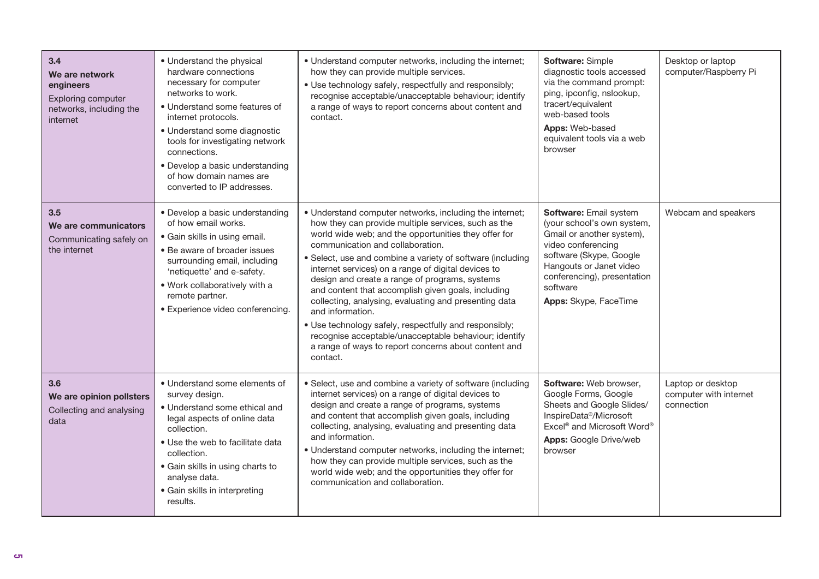| 3.4<br>We are network<br>engineers<br>Exploring computer<br>networks, including the<br>internet | • Understand the physical<br>hardware connections<br>necessary for computer<br>networks to work.<br>• Understand some features of<br>internet protocols.<br>· Understand some diagnostic<br>tools for investigating network<br>connections.<br>• Develop a basic understanding<br>of how domain names are<br>converted to IP addresses. | • Understand computer networks, including the internet;<br>how they can provide multiple services.<br>• Use technology safely, respectfully and responsibly;<br>recognise acceptable/unacceptable behaviour; identify<br>a range of ways to report concerns about content and<br>contact.                                                                                                                                                                                                                                                                                                                                                                                                                   | Software: Simple<br>diagnostic tools accessed<br>via the command prompt:<br>ping, ipconfig, nslookup,<br>tracert/equivalent<br>web-based tools<br><b>Apps: Web-based</b><br>equivalent tools via a web<br>browser                 | Desktop or laptop<br>computer/Raspberry Pi                |
|-------------------------------------------------------------------------------------------------|-----------------------------------------------------------------------------------------------------------------------------------------------------------------------------------------------------------------------------------------------------------------------------------------------------------------------------------------|-------------------------------------------------------------------------------------------------------------------------------------------------------------------------------------------------------------------------------------------------------------------------------------------------------------------------------------------------------------------------------------------------------------------------------------------------------------------------------------------------------------------------------------------------------------------------------------------------------------------------------------------------------------------------------------------------------------|-----------------------------------------------------------------------------------------------------------------------------------------------------------------------------------------------------------------------------------|-----------------------------------------------------------|
| 3.5<br>We are communicators<br>Communicating safely on<br>the internet                          | • Develop a basic understanding<br>of how email works.<br>• Gain skills in using email.<br>• Be aware of broader issues<br>surrounding email, including<br>'netiquette' and e-safety.<br>. Work collaboratively with a<br>remote partner.<br>· Experience video conferencing.                                                           | • Understand computer networks, including the internet;<br>how they can provide multiple services, such as the<br>world wide web; and the opportunities they offer for<br>communication and collaboration.<br>• Select, use and combine a variety of software (including<br>internet services) on a range of digital devices to<br>design and create a range of programs, systems<br>and content that accomplish given goals, including<br>collecting, analysing, evaluating and presenting data<br>and information.<br>· Use technology safely, respectfully and responsibly;<br>recognise acceptable/unacceptable behaviour; identify<br>a range of ways to report concerns about content and<br>contact. | Software: Email system<br>(your school's own system,<br>Gmail or another system),<br>video conferencing<br>software (Skype, Google<br>Hangouts or Janet video<br>conferencing), presentation<br>software<br>Apps: Skype, FaceTime | Webcam and speakers                                       |
| 3.6<br>We are opinion pollsters<br>Collecting and analysing<br>data                             | • Understand some elements of<br>survey design.<br>• Understand some ethical and<br>legal aspects of online data<br>collection.<br>• Use the web to facilitate data<br>collection.<br>· Gain skills in using charts to<br>analyse data.<br>· Gain skills in interpreting<br>results.                                                    | • Select, use and combine a variety of software (including<br>internet services) on a range of digital devices to<br>design and create a range of programs, systems<br>and content that accomplish given goals, including<br>collecting, analysing, evaluating and presenting data<br>and information.<br>• Understand computer networks, including the internet;<br>how they can provide multiple services, such as the<br>world wide web; and the opportunities they offer for<br>communication and collaboration.                                                                                                                                                                                        | Software: Web browser,<br>Google Forms, Google<br>Sheets and Google Slides/<br>InspireData <sup>®</sup> /Microsoft<br>Excel <sup>®</sup> and Microsoft Word <sup>®</sup><br><b>Apps:</b> Google Drive/web<br>browser              | Laptop or desktop<br>computer with internet<br>connection |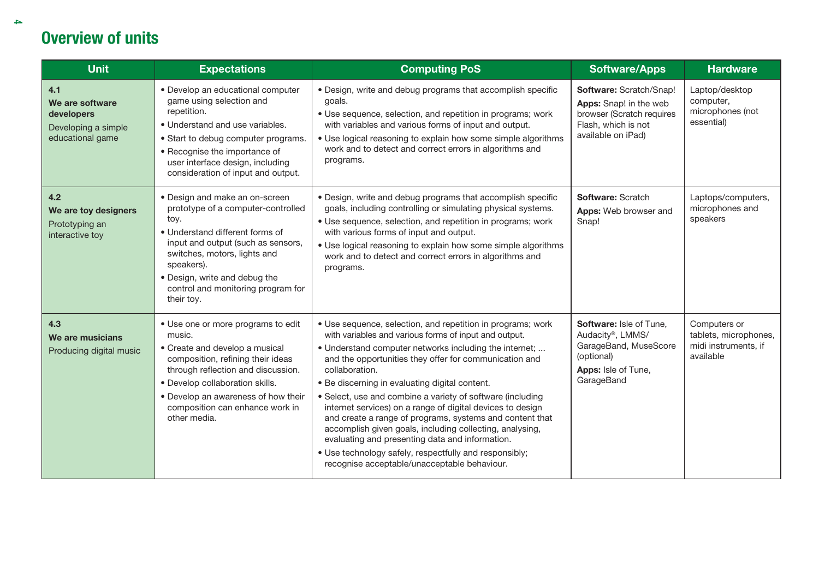| <b>Unit</b>                                                                     | <b>Expectations</b>                                                                                                                                                                                                                                                                      | <b>Computing PoS</b>                                                                                                                                                                                                                                                                                                                                                                                                                                                                                                                                                                                                                                                                                                          | <b>Software/Apps</b>                                                                                                           | <b>Hardware</b>                                                            |
|---------------------------------------------------------------------------------|------------------------------------------------------------------------------------------------------------------------------------------------------------------------------------------------------------------------------------------------------------------------------------------|-------------------------------------------------------------------------------------------------------------------------------------------------------------------------------------------------------------------------------------------------------------------------------------------------------------------------------------------------------------------------------------------------------------------------------------------------------------------------------------------------------------------------------------------------------------------------------------------------------------------------------------------------------------------------------------------------------------------------------|--------------------------------------------------------------------------------------------------------------------------------|----------------------------------------------------------------------------|
| 4.1<br>We are software<br>developers<br>Developing a simple<br>educational game | • Develop an educational computer<br>game using selection and<br>repetition.<br>• Understand and use variables.<br>• Start to debug computer programs.<br>• Recognise the importance of<br>user interface design, including<br>consideration of input and output.                        | • Design, write and debug programs that accomplish specific<br>goals.<br>• Use sequence, selection, and repetition in programs; work<br>with variables and various forms of input and output.<br>• Use logical reasoning to explain how some simple algorithms<br>work and to detect and correct errors in algorithms and<br>programs.                                                                                                                                                                                                                                                                                                                                                                                        | Software: Scratch/Snap!<br>Apps: Snap! in the web<br>browser (Scratch requires<br>Flash, which is not<br>available on iPad)    | Laptop/desktop<br>computer,<br>microphones (not<br>essential)              |
| 4.2<br>We are toy designers<br>Prototyping an<br>interactive toy                | • Design and make an on-screen<br>prototype of a computer-controlled<br>toy.<br>• Understand different forms of<br>input and output (such as sensors,<br>switches, motors, lights and<br>speakers).<br>• Design, write and debug the<br>control and monitoring program for<br>their toy. | · Design, write and debug programs that accomplish specific<br>goals, including controlling or simulating physical systems.<br>• Use sequence, selection, and repetition in programs; work<br>with various forms of input and output.<br>• Use logical reasoning to explain how some simple algorithms<br>work and to detect and correct errors in algorithms and<br>programs.                                                                                                                                                                                                                                                                                                                                                | Software: Scratch<br>Apps: Web browser and<br>Snap!                                                                            | Laptops/computers,<br>microphones and<br>speakers                          |
| 4.3<br>We are musicians<br>Producing digital music                              | • Use one or more programs to edit<br>music.<br>• Create and develop a musical<br>composition, refining their ideas<br>through reflection and discussion.<br>· Develop collaboration skills.<br>• Develop an awareness of how their<br>composition can enhance work in<br>other media.   | • Use sequence, selection, and repetition in programs; work<br>with variables and various forms of input and output.<br>• Understand computer networks including the internet;<br>and the opportunities they offer for communication and<br>collaboration.<br>• Be discerning in evaluating digital content.<br>• Select, use and combine a variety of software (including<br>internet services) on a range of digital devices to design<br>and create a range of programs, systems and content that<br>accomplish given goals, including collecting, analysing,<br>evaluating and presenting data and information.<br>• Use technology safely, respectfully and responsibly;<br>recognise acceptable/unacceptable behaviour. | <b>Software: Isle of Tune.</b><br>Audacity®, LMMS/<br>GarageBand, MuseScore<br>(optional)<br>Apps: Isle of Tune,<br>GarageBand | Computers or<br>tablets, microphones,<br>midi instruments, if<br>available |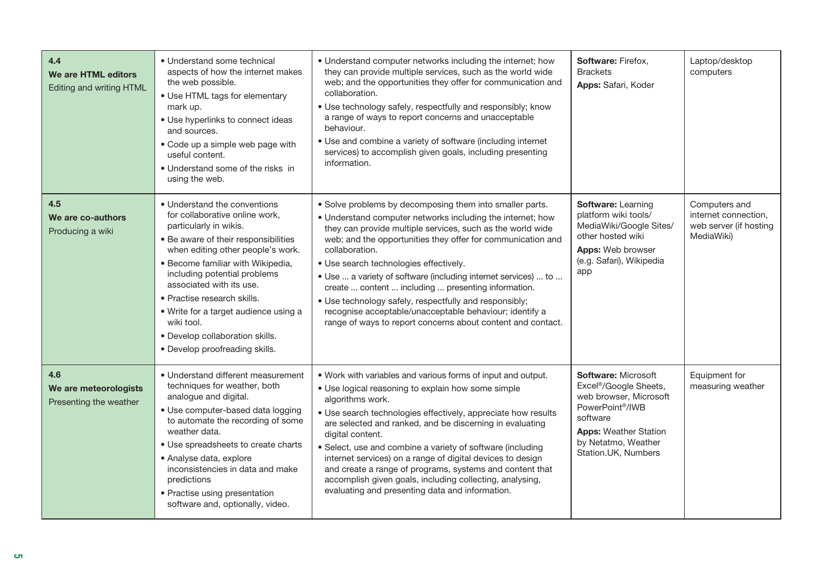| 4.4<br>We are HTML editors<br>Editing and writing HTML | • Understand some technical<br>aspects of how the internet makes<br>the web possible.<br>• Use HTML tags for elementary<br>mark up.<br>• Use hyperlinks to connect ideas<br>and sources.<br>• Code up a simple web page with<br>useful content.<br>• Understand some of the risks in<br>using the web.                                                                                                                            | • Understand computer networks including the internet; how<br>they can provide multiple services, such as the world wide<br>web; and the opportunities they offer for communication and<br>collaboration.<br>• Use technology safely, respectfully and responsibly; know<br>a range of ways to report concerns and unacceptable<br>behaviour.<br>• Use and combine a variety of software (including internet<br>services) to accomplish given goals, including presenting<br>information.                                                                                                                                    | Software: Firefox,<br><b>Brackets</b><br>Apps: Safari, Koder                                                                                                                                                         | Laptop/desktop<br>computers                                                   |
|--------------------------------------------------------|-----------------------------------------------------------------------------------------------------------------------------------------------------------------------------------------------------------------------------------------------------------------------------------------------------------------------------------------------------------------------------------------------------------------------------------|------------------------------------------------------------------------------------------------------------------------------------------------------------------------------------------------------------------------------------------------------------------------------------------------------------------------------------------------------------------------------------------------------------------------------------------------------------------------------------------------------------------------------------------------------------------------------------------------------------------------------|----------------------------------------------------------------------------------------------------------------------------------------------------------------------------------------------------------------------|-------------------------------------------------------------------------------|
| 4.5<br>We are co-authors<br>Producing a wiki           | • Understand the conventions<br>for collaborative online work,<br>particularly in wikis.<br>• Be aware of their responsibilities<br>when editing other people's work.<br>• Become familiar with Wikipedia,<br>including potential problems<br>associated with its use.<br>• Practise research skills.<br>• Write for a target audience using a<br>wiki tool.<br>· Develop collaboration skills.<br>• Develop proofreading skills. | • Solve problems by decomposing them into smaller parts.<br>• Understand computer networks including the internet; how<br>they can provide multiple services, such as the world wide<br>web; and the opportunities they offer for communication and<br>collaboration.<br>· Use search technologies effectively.<br>• Use  a variety of software (including internet services)  to<br>create  content  including  presenting information.<br>• Use technology safely, respectfully and responsibly;<br>recognise acceptable/unacceptable behaviour; identify a<br>range of ways to report concerns about content and contact. | Software: Learning<br>platform wiki tools/<br>MediaWiki/Google Sites/<br>other hosted wiki<br><b>Apps:</b> Web browser<br>(e.g. Safari), Wikipedia<br>app                                                            | Computers and<br>internet connection,<br>web server (if hosting<br>MediaWiki) |
| 4.6<br>We are meteorologists<br>Presenting the weather | • Understand different measurement<br>techniques for weather, both<br>analogue and digital.<br>· Use computer-based data logging<br>to automate the recording of some<br>weather data.<br>• Use spreadsheets to create charts<br>• Analyse data, explore<br>inconsistencies in data and make<br>predictions<br>• Practise using presentation<br>software and, optionally, video.                                                  | . Work with variables and various forms of input and output.<br>• Use logical reasoning to explain how some simple<br>algorithms work.<br>• Use search technologies effectively, appreciate how results<br>are selected and ranked, and be discerning in evaluating<br>digital content.<br>• Select, use and combine a variety of software (including<br>internet services) on a range of digital devices to design<br>and create a range of programs, systems and content that<br>accomplish given goals, including collecting, analysing,<br>evaluating and presenting data and information.                               | <b>Software: Microsoft</b><br>Excel <sup>®</sup> /Google Sheets,<br>web browser, Microsoft<br>PowerPoint <sup>®</sup> /IWB<br>software<br><b>Apps: Weather Station</b><br>by Netatmo, Weather<br>Station.UK, Numbers | Equipment for<br>measuring weather                                            |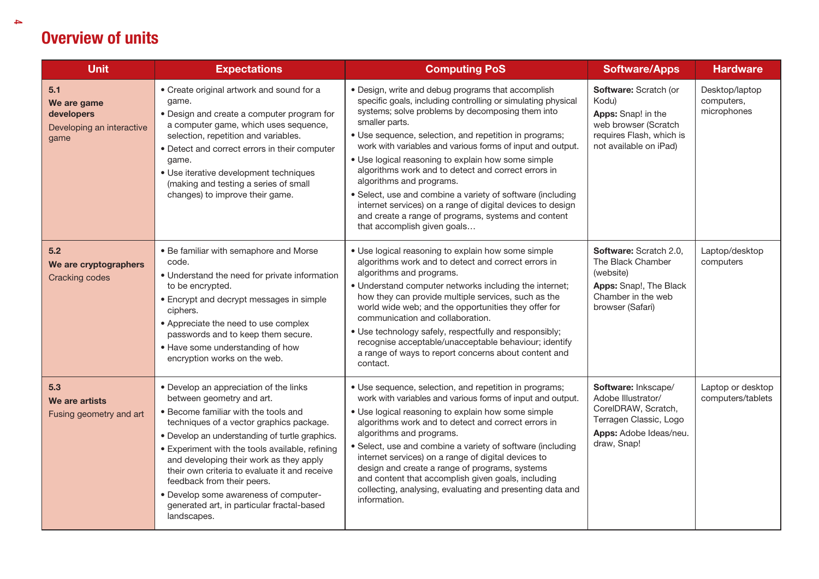| <b>Unit</b>                                                           | <b>Expectations</b>                                                                                                                                                                                                                                                                                                                                                                                                                                                                          | <b>Computing PoS</b>                                                                                                                                                                                                                                                                                                                                                                                                                                                                                                                                                                                                                                                        | <b>Software/Apps</b>                                                                                                                | <b>Hardware</b>                             |
|-----------------------------------------------------------------------|----------------------------------------------------------------------------------------------------------------------------------------------------------------------------------------------------------------------------------------------------------------------------------------------------------------------------------------------------------------------------------------------------------------------------------------------------------------------------------------------|-----------------------------------------------------------------------------------------------------------------------------------------------------------------------------------------------------------------------------------------------------------------------------------------------------------------------------------------------------------------------------------------------------------------------------------------------------------------------------------------------------------------------------------------------------------------------------------------------------------------------------------------------------------------------------|-------------------------------------------------------------------------------------------------------------------------------------|---------------------------------------------|
| 5.1<br>We are game<br>developers<br>Developing an interactive<br>game | • Create original artwork and sound for a<br>game.<br>• Design and create a computer program for<br>a computer game, which uses sequence,<br>selection, repetition and variables.<br>• Detect and correct errors in their computer<br>game.<br>· Use iterative development techniques<br>(making and testing a series of small<br>changes) to improve their game.                                                                                                                            | • Design, write and debug programs that accomplish<br>specific goals, including controlling or simulating physical<br>systems; solve problems by decomposing them into<br>smaller parts.<br>• Use sequence, selection, and repetition in programs;<br>work with variables and various forms of input and output.<br>• Use logical reasoning to explain how some simple<br>algorithms work and to detect and correct errors in<br>algorithms and programs.<br>• Select, use and combine a variety of software (including<br>internet services) on a range of digital devices to design<br>and create a range of programs, systems and content<br>that accomplish given goals | Software: Scratch (or<br>Kodu)<br>Apps: Snap! in the<br>web browser (Scratch<br>requires Flash, which is<br>not available on iPad)  | Desktop/laptop<br>computers,<br>microphones |
| 5.2<br>We are cryptographers<br><b>Cracking codes</b>                 | • Be familiar with semaphore and Morse<br>code.<br>• Understand the need for private information<br>to be encrypted.<br>• Encrypt and decrypt messages in simple<br>ciphers.<br>• Appreciate the need to use complex<br>passwords and to keep them secure.<br>• Have some understanding of how<br>encryption works on the web.                                                                                                                                                               | • Use logical reasoning to explain how some simple<br>algorithms work and to detect and correct errors in<br>algorithms and programs.<br>• Understand computer networks including the internet;<br>how they can provide multiple services, such as the<br>world wide web; and the opportunities they offer for<br>communication and collaboration.<br>• Use technology safely, respectfully and responsibly;<br>recognise acceptable/unacceptable behaviour; identify<br>a range of ways to report concerns about content and<br>contact.                                                                                                                                   | Software: Scratch 2.0,<br>The Black Chamber<br>(website)<br>Apps: Snap!, The Black<br>Chamber in the web<br>browser (Safari)        | Laptop/desktop<br>computers                 |
| 5.3<br>We are artists<br>Fusing geometry and art                      | • Develop an appreciation of the links<br>between geometry and art.<br>• Become familiar with the tools and<br>techniques of a vector graphics package.<br>• Develop an understanding of turtle graphics.<br>• Experiment with the tools available, refining<br>and developing their work as they apply<br>their own criteria to evaluate it and receive<br>feedback from their peers.<br>• Develop some awareness of computer-<br>generated art, in particular fractal-based<br>landscapes. | • Use sequence, selection, and repetition in programs;<br>work with variables and various forms of input and output.<br>• Use logical reasoning to explain how some simple<br>algorithms work and to detect and correct errors in<br>algorithms and programs.<br>• Select, use and combine a variety of software (including<br>internet services) on a range of digital devices to<br>design and create a range of programs, systems<br>and content that accomplish given goals, including<br>collecting, analysing, evaluating and presenting data and<br>information.                                                                                                     | Software: Inkscape/<br>Adobe Illustrator/<br>CorelDRAW, Scratch,<br>Terragen Classic, Logo<br>Apps: Adobe Ideas/neu.<br>draw, Snap! | Laptop or desktop<br>computers/tablets      |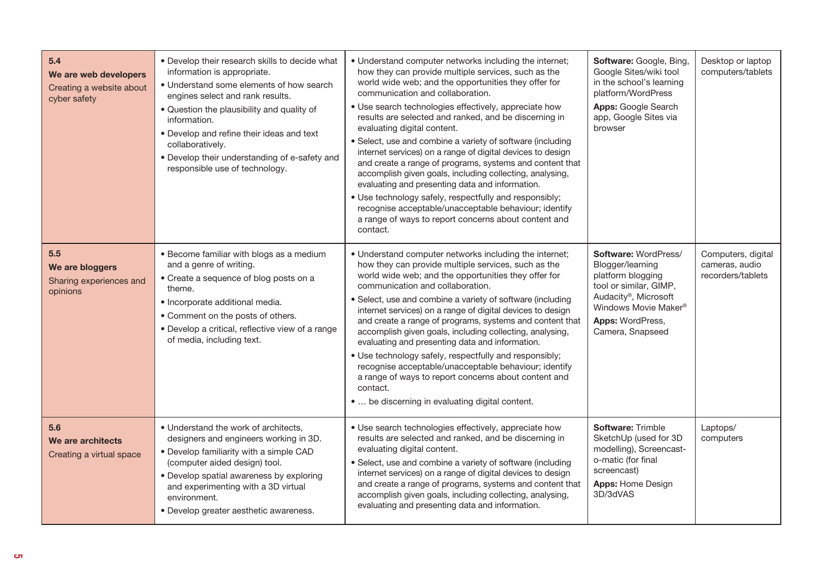| 5.4<br>We are web developers<br>Creating a website about<br>cyber safety | . Develop their research skills to decide what<br>information is appropriate.<br>• Understand some elements of how search<br>engines select and rank results.<br>. Question the plausibility and quality of<br>information.<br>• Develop and refine their ideas and text<br>collaboratively.<br>• Develop their understanding of e-safety and<br>responsible use of technology. | • Understand computer networks including the internet;<br>how they can provide multiple services, such as the<br>world wide web; and the opportunities they offer for<br>communication and collaboration.<br>• Use search technologies effectively, appreciate how<br>results are selected and ranked, and be discerning in<br>evaluating digital content.<br>• Select, use and combine a variety of software (including<br>internet services) on a range of digital devices to design<br>and create a range of programs, systems and content that<br>accomplish given goals, including collecting, analysing,<br>evaluating and presenting data and information.<br>• Use technology safely, respectfully and responsibly;<br>recognise acceptable/unacceptable behaviour; identify<br>a range of ways to report concerns about content and<br>contact. | Software: Google, Bing,<br>Google Sites/wiki tool<br>in the school's learning<br>platform/WordPress<br><b>Apps: Google Search</b><br>app, Google Sites via<br>browser                  | Desktop or laptop<br>computers/tablets                    |
|--------------------------------------------------------------------------|---------------------------------------------------------------------------------------------------------------------------------------------------------------------------------------------------------------------------------------------------------------------------------------------------------------------------------------------------------------------------------|----------------------------------------------------------------------------------------------------------------------------------------------------------------------------------------------------------------------------------------------------------------------------------------------------------------------------------------------------------------------------------------------------------------------------------------------------------------------------------------------------------------------------------------------------------------------------------------------------------------------------------------------------------------------------------------------------------------------------------------------------------------------------------------------------------------------------------------------------------|----------------------------------------------------------------------------------------------------------------------------------------------------------------------------------------|-----------------------------------------------------------|
| 5.5<br>We are bloggers<br>Sharing experiences and<br>opinions            | • Become familiar with blogs as a medium<br>and a genre of writing.<br>• Create a sequence of blog posts on a<br>theme.<br>· Incorporate additional media.<br>• Comment on the posts of others.<br>• Develop a critical, reflective view of a range<br>of media, including text.                                                                                                | • Understand computer networks including the internet;<br>how they can provide multiple services, such as the<br>world wide web; and the opportunities they offer for<br>communication and collaboration.<br>• Select, use and combine a variety of software (including<br>internet services) on a range of digital devices to design<br>and create a range of programs, systems and content that<br>accomplish given goals, including collecting, analysing,<br>evaluating and presenting data and information.<br>· Use technology safely, respectfully and responsibly;<br>recognise acceptable/unacceptable behaviour; identify<br>a range of ways to report concerns about content and<br>contact.<br>•  be discerning in evaluating digital content.                                                                                               | Software: WordPress/<br>Blogger/learning<br>platform blogging<br>tool or similar, GIMP,<br>Audacity®, Microsoft<br>Windows Movie Maker®<br><b>Apps: WordPress,</b><br>Camera, Snapseed | Computers, digital<br>cameras, audio<br>recorders/tablets |
| 5.6<br>We are architects<br>Creating a virtual space                     | • Understand the work of architects,<br>designers and engineers working in 3D.<br>• Develop familiarity with a simple CAD<br>(computer aided design) tool.<br>• Develop spatial awareness by exploring<br>and experimenting with a 3D virtual<br>environment.<br>• Develop greater aesthetic awareness.                                                                         | • Use search technologies effectively, appreciate how<br>results are selected and ranked, and be discerning in<br>evaluating digital content.<br>· Select, use and combine a variety of software (including<br>internet services) on a range of digital devices to design<br>and create a range of programs, systems and content that<br>accomplish given goals, including collecting, analysing,<br>evaluating and presenting data and information.                                                                                                                                                                                                                                                                                                                                                                                                     | <b>Software: Trimble</b><br>SketchUp (used for 3D<br>modelling), Screencast-<br>o-matic (for final<br>screencast)<br><b>Apps: Home Design</b><br>3D/3dVAS                              | Laptops/<br>computers                                     |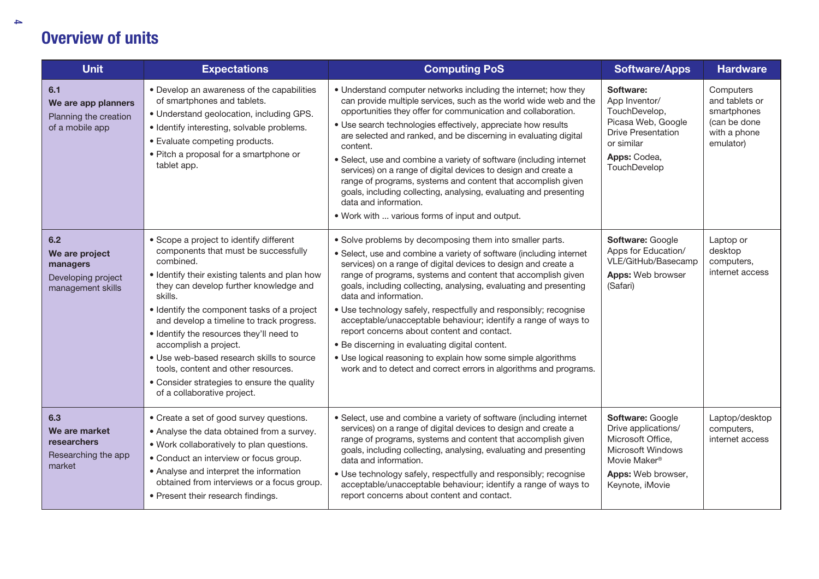| <b>Unit</b>                                                                  | <b>Expectations</b>                                                                                                                                                                                                                                                                                                                                                                                                                                                                                                                    | <b>Computing PoS</b>                                                                                                                                                                                                                                                                                                                                                                                                                                                                                                                                                                                                                                                                                                                        | <b>Software/Apps</b>                                                                                                                         | <b>Hardware</b>                                                                         |
|------------------------------------------------------------------------------|----------------------------------------------------------------------------------------------------------------------------------------------------------------------------------------------------------------------------------------------------------------------------------------------------------------------------------------------------------------------------------------------------------------------------------------------------------------------------------------------------------------------------------------|---------------------------------------------------------------------------------------------------------------------------------------------------------------------------------------------------------------------------------------------------------------------------------------------------------------------------------------------------------------------------------------------------------------------------------------------------------------------------------------------------------------------------------------------------------------------------------------------------------------------------------------------------------------------------------------------------------------------------------------------|----------------------------------------------------------------------------------------------------------------------------------------------|-----------------------------------------------------------------------------------------|
| 6.1<br>We are app planners<br>Planning the creation<br>of a mobile app       | • Develop an awareness of the capabilities<br>of smartphones and tablets.<br>• Understand geolocation, including GPS.<br>· Identify interesting, solvable problems.<br>• Evaluate competing products.<br>• Pitch a proposal for a smartphone or<br>tablet app.                                                                                                                                                                                                                                                                         | • Understand computer networks including the internet; how they<br>can provide multiple services, such as the world wide web and the<br>opportunities they offer for communication and collaboration.<br>• Use search technologies effectively, appreciate how results<br>are selected and ranked, and be discerning in evaluating digital<br>content.<br>• Select, use and combine a variety of software (including internet<br>services) on a range of digital devices to design and create a<br>range of programs, systems and content that accomplish given<br>goals, including collecting, analysing, evaluating and presenting<br>data and information.<br>. Work with  various forms of input and output.                            | Software:<br>App Inventor/<br>TouchDevelop,<br>Picasa Web, Google<br><b>Drive Presentation</b><br>or similar<br>Apps: Codea,<br>TouchDevelop | Computers<br>and tablets or<br>smartphones<br>(can be done<br>with a phone<br>emulator) |
| 6.2<br>We are project<br>managers<br>Developing project<br>management skills | • Scope a project to identify different<br>components that must be successfully<br>combined.<br>· Identify their existing talents and plan how<br>they can develop further knowledge and<br>skills.<br>• Identify the component tasks of a project<br>and develop a timeline to track progress.<br>. Identify the resources they'll need to<br>accomplish a project.<br>· Use web-based research skills to source<br>tools, content and other resources.<br>• Consider strategies to ensure the quality<br>of a collaborative project. | • Solve problems by decomposing them into smaller parts.<br>• Select, use and combine a variety of software (including internet<br>services) on a range of digital devices to design and create a<br>range of programs, systems and content that accomplish given<br>goals, including collecting, analysing, evaluating and presenting<br>data and information.<br>• Use technology safely, respectfully and responsibly; recognise<br>acceptable/unacceptable behaviour; identify a range of ways to<br>report concerns about content and contact.<br>. Be discerning in evaluating digital content.<br>• Use logical reasoning to explain how some simple algorithms<br>work and to detect and correct errors in algorithms and programs. | Software: Google<br>Apps for Education/<br>VLE/GitHub/Basecamp<br>Apps: Web browser<br>(Safari)                                              | Laptop or<br>desktop<br>computers,<br>internet access                                   |
| 6.3<br>We are market<br><b>researchers</b><br>Researching the app<br>market  | • Create a set of good survey questions.<br>• Analyse the data obtained from a survey.<br>. Work collaboratively to plan questions.<br>• Conduct an interview or focus group.<br>• Analyse and interpret the information<br>obtained from interviews or a focus group.<br>• Present their research findings.                                                                                                                                                                                                                           | • Select, use and combine a variety of software (including internet<br>services) on a range of digital devices to design and create a<br>range of programs, systems and content that accomplish given<br>goals, including collecting, analysing, evaluating and presenting<br>data and information.<br>· Use technology safely, respectfully and responsibly; recognise<br>acceptable/unacceptable behaviour; identify a range of ways to<br>report concerns about content and contact.                                                                                                                                                                                                                                                     | Software: Google<br>Drive applications/<br>Microsoft Office,<br>Microsoft Windows<br>Movie Maker®<br>Apps: Web browser,<br>Keynote, iMovie   | Laptop/desktop<br>computers,<br>internet access                                         |